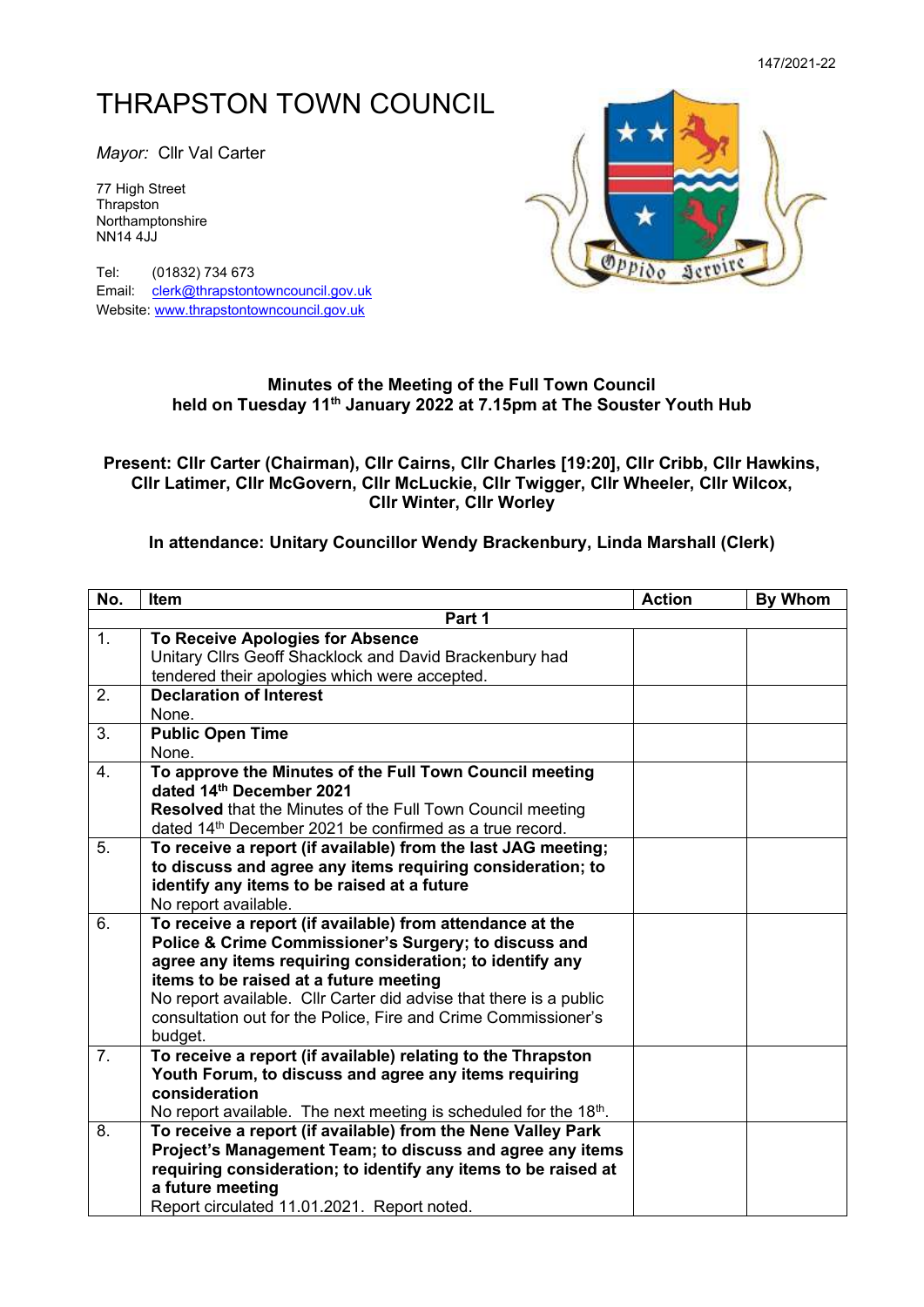## THRAPSTON TOWN COUNCIL

*Mayor:* Cllr Val Carter

77 High Street **Thrapston** Northamptonshire NN14 4JJ

Tel: (01832) 734 673 Email: [clerk@thrapstontowncouncil.gov.uk](mailto:clerk@thrapstontowncouncil.gov.uk) Website[: www.thrapstontowncouncil.gov.uk](http://www.thrapstontowncouncil.gov.uk/)



## **Minutes of the Meeting of the Full Town Council held on Tuesday 11 th January 2022 at 7.15pm at The Souster Youth Hub**

## **Present: Cllr Carter (Chairman), Cllr Cairns, Cllr Charles [19:20], Cllr Cribb, Cllr Hawkins, Cllr Latimer, Cllr McGovern, Cllr McLuckie, Cllr Twigger, Cllr Wheeler, Cllr Wilcox, Cllr Winter, Cllr Worley**

## **In attendance: Unitary Councillor Wendy Brackenbury, Linda Marshall (Clerk)**

| No.            | Item                                                                                                                                                                                                                                                                                                                                                                        | <b>Action</b> | <b>By Whom</b> |
|----------------|-----------------------------------------------------------------------------------------------------------------------------------------------------------------------------------------------------------------------------------------------------------------------------------------------------------------------------------------------------------------------------|---------------|----------------|
| Part 1         |                                                                                                                                                                                                                                                                                                                                                                             |               |                |
| 1.             | To Receive Apologies for Absence<br>Unitary Cllrs Geoff Shacklock and David Brackenbury had<br>tendered their apologies which were accepted.                                                                                                                                                                                                                                |               |                |
| 2.             | <b>Declaration of Interest</b><br>None.                                                                                                                                                                                                                                                                                                                                     |               |                |
| 3.             | <b>Public Open Time</b><br>None.                                                                                                                                                                                                                                                                                                                                            |               |                |
| 4.             | To approve the Minutes of the Full Town Council meeting<br>dated 14th December 2021<br><b>Resolved</b> that the Minutes of the Full Town Council meeting<br>dated 14 <sup>th</sup> December 2021 be confirmed as a true record.                                                                                                                                             |               |                |
| 5.             | To receive a report (if available) from the last JAG meeting;<br>to discuss and agree any items requiring consideration; to<br>identify any items to be raised at a future<br>No report available.                                                                                                                                                                          |               |                |
| 6.             | To receive a report (if available) from attendance at the<br>Police & Crime Commissioner's Surgery; to discuss and<br>agree any items requiring consideration; to identify any<br>items to be raised at a future meeting<br>No report available. Cllr Carter did advise that there is a public<br>consultation out for the Police, Fire and Crime Commissioner's<br>budget. |               |                |
| 7 <sub>1</sub> | To receive a report (if available) relating to the Thrapston<br>Youth Forum, to discuss and agree any items requiring<br>consideration<br>No report available. The next meeting is scheduled for the 18th.                                                                                                                                                                  |               |                |
| 8.             | To receive a report (if available) from the Nene Valley Park<br>Project's Management Team; to discuss and agree any items<br>requiring consideration; to identify any items to be raised at<br>a future meeting<br>Report circulated 11.01.2021. Report noted.                                                                                                              |               |                |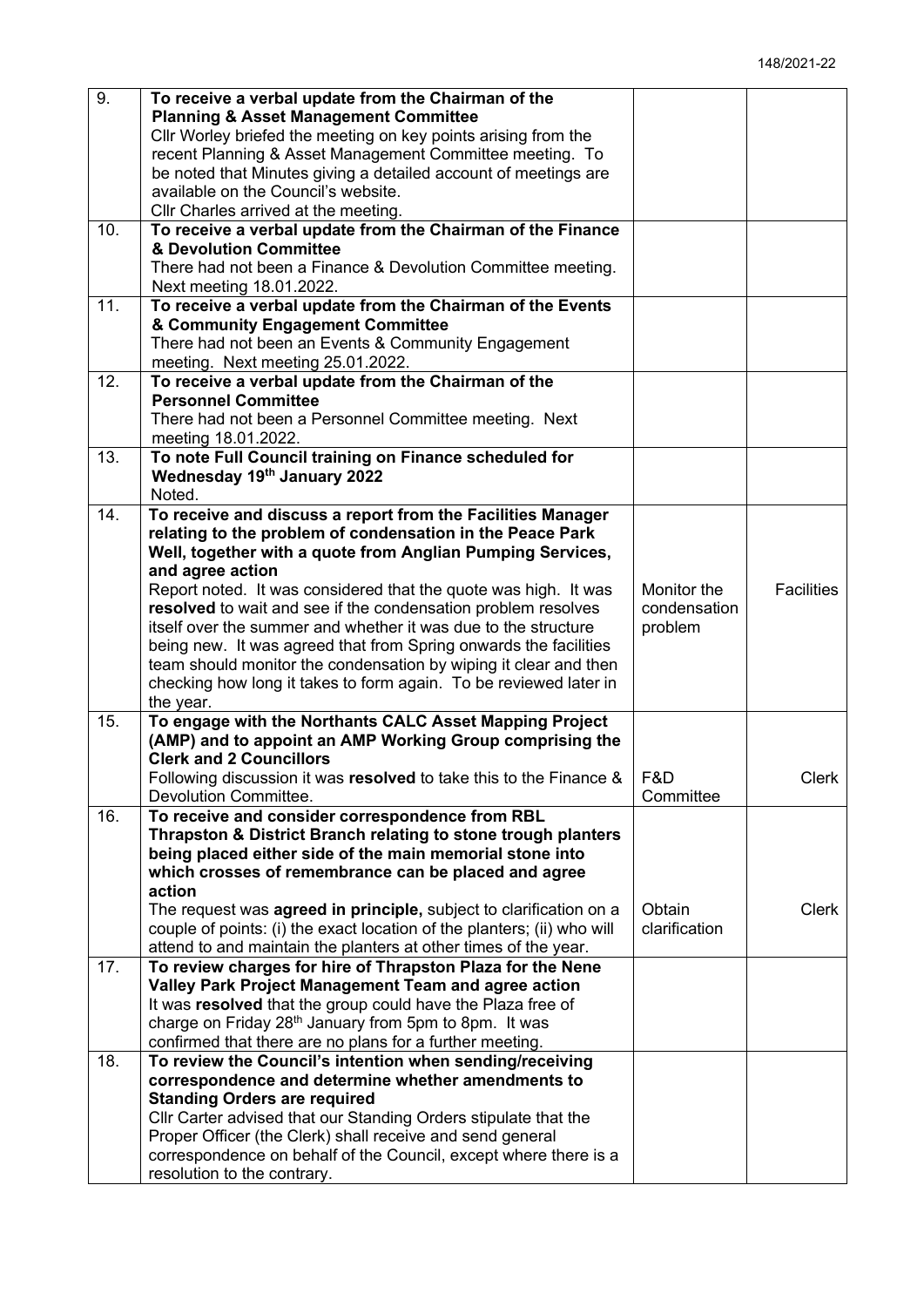| 9.  | To receive a verbal update from the Chairman of the                        |               |                   |
|-----|----------------------------------------------------------------------------|---------------|-------------------|
|     | <b>Planning &amp; Asset Management Committee</b>                           |               |                   |
|     | Cllr Worley briefed the meeting on key points arising from the             |               |                   |
|     | recent Planning & Asset Management Committee meeting. To                   |               |                   |
|     | be noted that Minutes giving a detailed account of meetings are            |               |                   |
|     | available on the Council's website.                                        |               |                   |
|     | Cllr Charles arrived at the meeting.                                       |               |                   |
| 10. | To receive a verbal update from the Chairman of the Finance                |               |                   |
|     | & Devolution Committee                                                     |               |                   |
|     | There had not been a Finance & Devolution Committee meeting.               |               |                   |
|     | Next meeting 18.01.2022.                                                   |               |                   |
| 11. | To receive a verbal update from the Chairman of the Events                 |               |                   |
|     | & Community Engagement Committee                                           |               |                   |
|     | There had not been an Events & Community Engagement                        |               |                   |
|     | meeting. Next meeting 25.01.2022.                                          |               |                   |
| 12. | To receive a verbal update from the Chairman of the                        |               |                   |
|     | <b>Personnel Committee</b>                                                 |               |                   |
|     | There had not been a Personnel Committee meeting. Next                     |               |                   |
|     | meeting 18.01.2022.                                                        |               |                   |
| 13. | To note Full Council training on Finance scheduled for                     |               |                   |
|     | Wednesday 19th January 2022                                                |               |                   |
|     | Noted.                                                                     |               |                   |
| 14. | To receive and discuss a report from the Facilities Manager                |               |                   |
|     | relating to the problem of condensation in the Peace Park                  |               |                   |
|     | Well, together with a quote from Anglian Pumping Services,                 |               |                   |
|     | and agree action                                                           |               |                   |
|     | Report noted. It was considered that the quote was high. It was            | Monitor the   | <b>Facilities</b> |
|     | resolved to wait and see if the condensation problem resolves              | condensation  |                   |
|     | itself over the summer and whether it was due to the structure             | problem       |                   |
|     | being new. It was agreed that from Spring onwards the facilities           |               |                   |
|     | team should monitor the condensation by wiping it clear and then           |               |                   |
|     | checking how long it takes to form again. To be reviewed later in          |               |                   |
|     | the year.                                                                  |               |                   |
| 15. | To engage with the Northants CALC Asset Mapping Project                    |               |                   |
|     | (AMP) and to appoint an AMP Working Group comprising the                   |               |                   |
|     | <b>Clerk and 2 Councillors</b>                                             |               |                   |
|     | Following discussion it was resolved to take this to the Finance &         | F&D           | <b>Clerk</b>      |
|     | Devolution Committee.                                                      | Committee     |                   |
| 16. | To receive and consider correspondence from RBL                            |               |                   |
|     | Thrapston & District Branch relating to stone trough planters              |               |                   |
|     | being placed either side of the main memorial stone into                   |               |                   |
|     | which crosses of remembrance can be placed and agree                       |               |                   |
|     | action                                                                     |               |                   |
|     | The request was <b>agreed in principle</b> , subject to clarification on a | Obtain        | <b>Clerk</b>      |
|     | couple of points: (i) the exact location of the planters; (ii) who will    | clarification |                   |
|     | attend to and maintain the planters at other times of the year.            |               |                   |
| 17. | To review charges for hire of Thrapston Plaza for the Nene                 |               |                   |
|     | Valley Park Project Management Team and agree action                       |               |                   |
|     | It was resolved that the group could have the Plaza free of                |               |                   |
|     | charge on Friday 28 <sup>th</sup> January from 5pm to 8pm. It was          |               |                   |
|     | confirmed that there are no plans for a further meeting.                   |               |                   |
| 18. | To review the Council's intention when sending/receiving                   |               |                   |
|     | correspondence and determine whether amendments to                         |               |                   |
|     | <b>Standing Orders are required</b>                                        |               |                   |
|     | Cllr Carter advised that our Standing Orders stipulate that the            |               |                   |
|     | Proper Officer (the Clerk) shall receive and send general                  |               |                   |
|     | correspondence on behalf of the Council, except where there is a           |               |                   |
|     | resolution to the contrary.                                                |               |                   |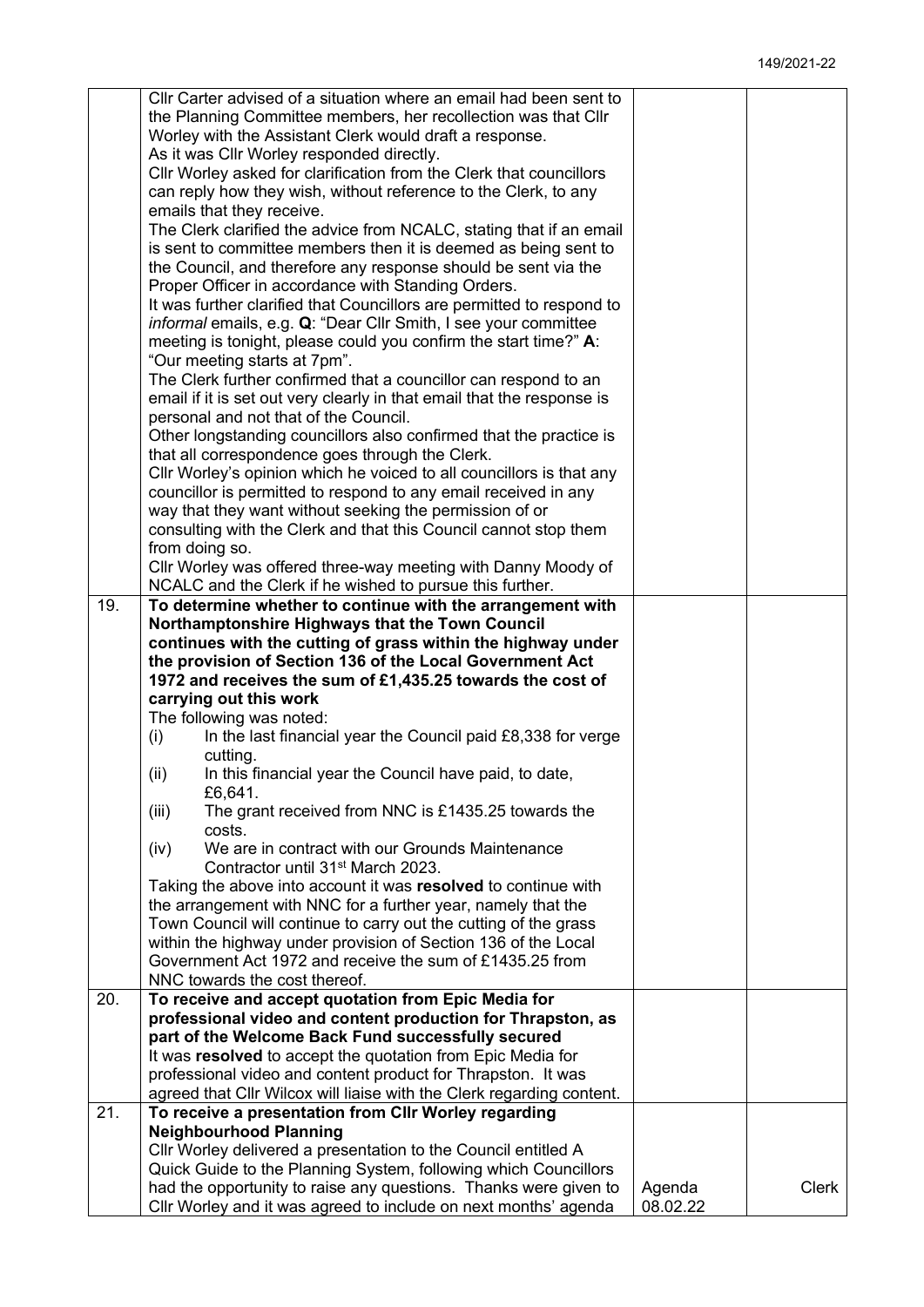|     | Cllr Carter advised of a situation where an email had been sent to                                                             |          |       |
|-----|--------------------------------------------------------------------------------------------------------------------------------|----------|-------|
|     | the Planning Committee members, her recollection was that Cllr                                                                 |          |       |
|     | Worley with the Assistant Clerk would draft a response.                                                                        |          |       |
|     | As it was Cllr Worley responded directly.                                                                                      |          |       |
|     | CIIr Worley asked for clarification from the Clerk that councillors                                                            |          |       |
|     | can reply how they wish, without reference to the Clerk, to any                                                                |          |       |
|     | emails that they receive.                                                                                                      |          |       |
|     | The Clerk clarified the advice from NCALC, stating that if an email                                                            |          |       |
|     | is sent to committee members then it is deemed as being sent to                                                                |          |       |
|     | the Council, and therefore any response should be sent via the                                                                 |          |       |
|     | Proper Officer in accordance with Standing Orders.                                                                             |          |       |
|     | It was further clarified that Councillors are permitted to respond to                                                          |          |       |
|     | <i>informal</i> emails, e.g. Q: "Dear Cllr Smith, I see your committee                                                         |          |       |
|     | meeting is tonight, please could you confirm the start time?" A:                                                               |          |       |
|     | "Our meeting starts at 7pm".                                                                                                   |          |       |
|     | The Clerk further confirmed that a councillor can respond to an                                                                |          |       |
|     | email if it is set out very clearly in that email that the response is                                                         |          |       |
|     | personal and not that of the Council.                                                                                          |          |       |
|     | Other longstanding councillors also confirmed that the practice is                                                             |          |       |
|     | that all correspondence goes through the Clerk.                                                                                |          |       |
|     | Cllr Worley's opinion which he voiced to all councillors is that any                                                           |          |       |
|     | councillor is permitted to respond to any email received in any                                                                |          |       |
|     | way that they want without seeking the permission of or                                                                        |          |       |
|     | consulting with the Clerk and that this Council cannot stop them<br>from doing so.                                             |          |       |
|     | Cllr Worley was offered three-way meeting with Danny Moody of                                                                  |          |       |
|     | NCALC and the Clerk if he wished to pursue this further.                                                                       |          |       |
| 19. | To determine whether to continue with the arrangement with                                                                     |          |       |
|     | Northamptonshire Highways that the Town Council                                                                                |          |       |
|     | continues with the cutting of grass within the highway under                                                                   |          |       |
|     | the provision of Section 136 of the Local Government Act                                                                       |          |       |
|     | 1972 and receives the sum of £1,435.25 towards the cost of                                                                     |          |       |
|     | carrying out this work                                                                                                         |          |       |
|     | The following was noted:                                                                                                       |          |       |
|     | In the last financial year the Council paid £8,338 for verge<br>(i)                                                            |          |       |
|     | cutting.                                                                                                                       |          |       |
|     | In this financial year the Council have paid, to date,<br>(ii)                                                                 |          |       |
|     | £6,641.                                                                                                                        |          |       |
|     | (iii)<br>The grant received from NNC is £1435.25 towards the                                                                   |          |       |
|     | costs.                                                                                                                         |          |       |
|     | We are in contract with our Grounds Maintenance<br>(iv)<br>Contractor until 31 <sup>st</sup> March 2023.                       |          |       |
|     |                                                                                                                                |          |       |
|     | Taking the above into account it was resolved to continue with<br>the arrangement with NNC for a further year, namely that the |          |       |
|     | Town Council will continue to carry out the cutting of the grass                                                               |          |       |
|     | within the highway under provision of Section 136 of the Local                                                                 |          |       |
|     | Government Act 1972 and receive the sum of £1435.25 from                                                                       |          |       |
|     | NNC towards the cost thereof.                                                                                                  |          |       |
| 20. | To receive and accept quotation from Epic Media for                                                                            |          |       |
|     | professional video and content production for Thrapston, as                                                                    |          |       |
|     | part of the Welcome Back Fund successfully secured                                                                             |          |       |
|     | It was resolved to accept the quotation from Epic Media for                                                                    |          |       |
|     | professional video and content product for Thrapston. It was                                                                   |          |       |
|     | agreed that Cllr Wilcox will liaise with the Clerk regarding content.                                                          |          |       |
| 21. | To receive a presentation from CIIr Worley regarding                                                                           |          |       |
|     | <b>Neighbourhood Planning</b>                                                                                                  |          |       |
|     | Cllr Worley delivered a presentation to the Council entitled A                                                                 |          |       |
|     | Quick Guide to the Planning System, following which Councillors                                                                |          |       |
|     | had the opportunity to raise any questions. Thanks were given to                                                               | Agenda   | Clerk |
|     | Cllr Worley and it was agreed to include on next months' agenda                                                                | 08.02.22 |       |